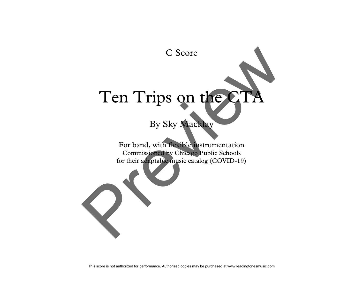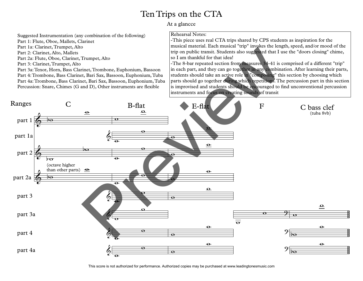## Ten Trips on the CTA

At a glancce

Suggested Instrumentation (any combination of the following)

Part 1: Flute, Oboe, Mallets, Clarinet

Part 1a: Clarinet, Trumpet, Alto

Part 2: Clarinet, Alto, Mallets

Part 2a: Flute, Oboe, Clarinet, Trumpet, Alto

Part 3: Clarinet, Trumpet, Alto

Part 3a: Tenor, Horn, Bass Clarinet, Trombone, Euphonium, Bassoon Part 4: Trombone, Bass Clarinet, Bari Sax, Bassoon, Euphonium, Tuba Part 4a: Trombone, Bass Clarinet, Bari Sax, Bassoon, Euphonium, Tuba Percussion: Snare, Chimes (G and D), Other instruments are flexible

## Rehearsal Notes:

-This piece uses real CTA trips shared by CPS students as inspiration for the musical material. Each musical "trip" invokes the length, speed, and/or mood of the trip on public transit. Students also suggested that I use the "doors closing" chime, so I am thankful for that idea!

-The 8-bar repeated section from measures 34-41 is comprised of a different "trip" in each part, and they can go together in any combination. After learning their parts, students should take an active role in "composing" this section by choosing which parts should go together during which repetitions. The percussion part in this section is improvised and students should be encouraged to find unconventional percussion instruments and focus on creating sounds of transit



This score is not authorized for performance. Authorized copies may be purchased at www.leadingtonesmusic.com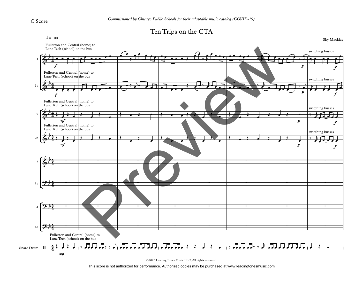



©2020 Leading Tones Music LLC, All rights reserved.

This score is not authorized for performance. Authorized copies may be purchased at www.leadingtonesmusic.com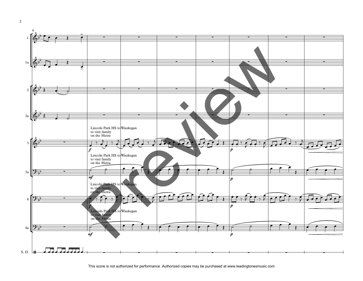

This score is not authorized for performance. Authorized copies may be purchased at www.leadingtonesmusic.com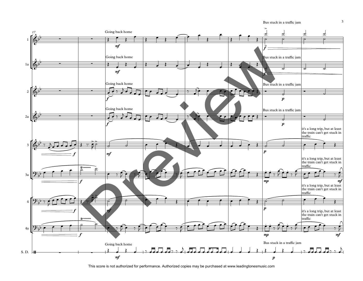Bus stuck in a traffic jam



This score is not authorized for performance. Authorized copies may be purchased at www.leadingtonesmusic.com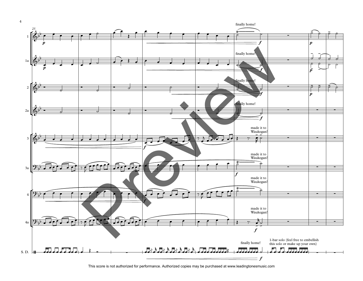

This score is not authorized for performance. Authorized copies may be purchased at www.leadingtonesmusic.com

4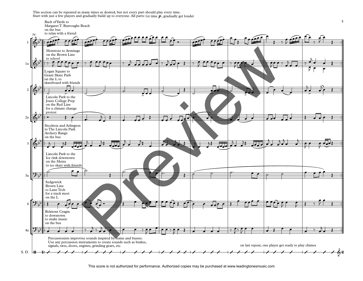ction can be repeated as many times as desired, but not every part should play every time.<br>th just a few players and gradually build up to everyone. All parts: 1st time  $\bm{p}$  , gradually get louder This section can be repeated as many times as desired, but not every part should play every time.